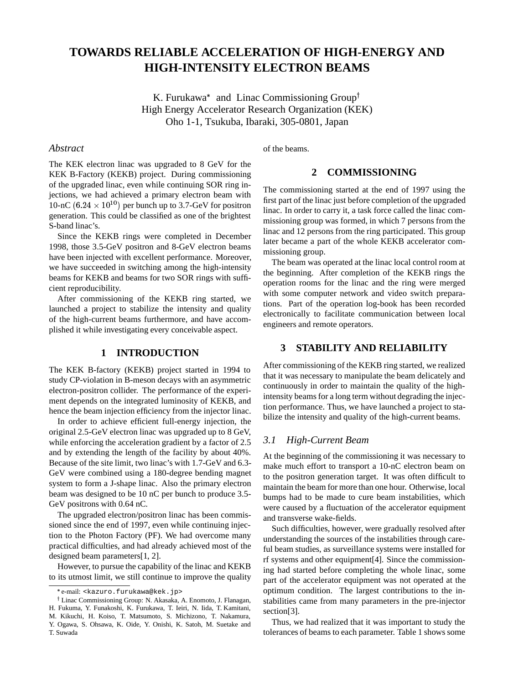# **TOWARDS RELIABLE ACCELERATION OF HIGH-ENERGY AND HIGH-INTENSITY ELECTRON BEAMS**

K. Furukawa<sup>\*</sup> and Linac Commissioning Group<sup>†</sup> High Energy Accelerator Research Organization (KEK) Oho 1-1, Tsukuba, Ibaraki, 305-0801, Japan

#### *Abstract*

of the beams.

## The KEK electron linac was upgraded to 8 GeV for the KEK B-Factory (KEKB) project. During commissioning of the upgraded linac, even while continuing SOR ring injections, we had achieved a primary electron beam with 10-nC  $(6.24 \times 10^{10})$  per bunch up to 3.7-GeV for positron generation. This could be classified as one of the brightest S-band linac's.

Since the KEKB rings were completed in December 1998, those 3.5-GeV positron and 8-GeV electron beams have been injected with excellent performance. Moreover, we have succeeded in switching among the high-intensity beams for KEKB and beams for two SOR rings with sufficient reproducibility.

After commissioning of the KEKB ring started, we launched a project to stabilize the intensity and quality of the high-current beams furthermore, and have accomplished it while investigating every conceivable aspect.

## **1 INTRODUCTION**

The KEK B-factory (KEKB) project started in 1994 to study CP-violation in B-meson decays with an asymmetric electron-positron collider. The performance of the experiment depends on the integrated luminosity of KEKB, and hence the beam injection efficiency from the injector linac.

In order to achieve efficient full-energy injection, the original 2.5-GeV electron linac was upgraded up to 8 GeV, while enforcing the acceleration gradient by a factor of 2.5 and by extending the length of the facility by about 40%. Because of the site limit, two linac's with 1.7-GeV and 6.3- GeV were combined using a 180-degree bending magnet system to form a J-shape linac. Also the primary electron beam was designed to be 10 nC per bunch to produce 3.5- GeV positrons with 0.64 nC.

The upgraded electron/positron linac has been commissioned since the end of 1997, even while continuing injection to the Photon Factory (PF). We had overcome many practical difficulties, and had already achieved most of the designed beam parameters[1, 2].

However, to pursue the capability of the linac and KEKB to its utmost limit, we still continue to improve the quality

# **2 COMMISSIONING**

The commissioning started at the end of 1997 using the first part of the linac just before completion of the upgraded linac. In order to carry it, a task force called the linac commissioning group was formed, in which 7 persons from the linac and 12 persons from the ring participated. This group later became a part of the whole KEKB accelerator commissioning group.

The beam was operated at the linac local control room at the beginning. After completion of the KEKB rings the operation rooms for the linac and the ring were merged with some computer network and video switch preparations. Part of the operation log-book has been recorded electronically to facilitate communication between local engineers and remote operators.

# **3 STABILITY AND RELIABILITY**

After commissioning of the KEKB ring started, we realized that it was necessary to manipulate the beam delicately and continuously in order to maintain the quality of the highintensity beams for a long term without degrading the injection performance. Thus, we have launched a project to stabilize the intensity and quality of the high-current beams.

### *3.1 High-Current Beam*

At the beginning of the commissioning it was necessary to make much effort to transport a 10-nC electron beam on to the positron generation target. It was often difficult to maintain the beam for more than one hour. Otherwise, local bumps had to be made to cure beam instabilities, which were caused by a fluctuation of the accelerator equipment and transverse wake-fields.

Such difficulties, however, were gradually resolved after understanding the sources of the instabilities through careful beam studies, as surveillance systems were installed for rf systems and other equipment[4]. Since the commissioning had started before completing the whole linac, some part of the accelerator equipment was not operated at the optimum condition. The largest contributions to the instabilities came from many parameters in the pre-injector section<sup>[3]</sup>.

Thus, we had realized that it was important to study the tolerances of beams to each parameter. Table 1 shows some

e-mail: <kazuro.furukawa@kek.jp>

<sup>&</sup>lt;sup>†</sup> Linac Commissioning Group: N. Akasaka, A. Enomoto, J. Flanagan, H. Fukuma, Y. Funakoshi, K. Furukawa, T. Ieiri, N. Iida, T. Kamitani, M. Kikuchi, H. Koiso, T. Matsumoto, S. Michizono, T. Nakamura, Y. Ogawa, S. Ohsawa, K. Oide, Y. Onishi, K. Satoh, M. Suetake and T. Suwada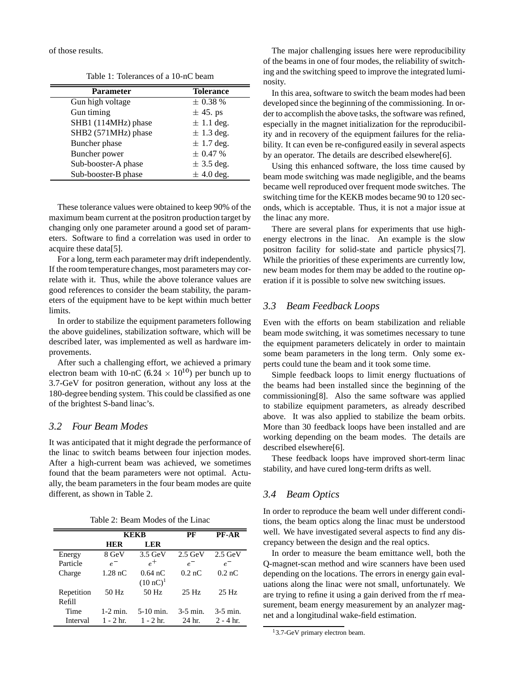of those results.

Table 1: Tolerances of a 10-nC beam

| <b>Parameter</b>    | <b>Tolerance</b> |
|---------------------|------------------|
| Gun high voltage    | $\pm$ 0.38 %     |
| Gun timing          | $\pm$ 45. ps     |
| SHB1 (114MHz) phase | $\pm$ 1.1 deg.   |
| SHB2 (571MHz) phase | $\pm$ 1.3 deg.   |
| Buncher phase       | $\pm$ 1.7 deg.   |
| Buncher power       | $\pm 0.47 \%$    |
| Sub-booster-A phase | $\pm$ 3.5 deg.   |
| Sub-booster-B phase | $\pm$ 4.0 deg.   |

These tolerance values were obtained to keep 90% of the maximum beam current at the positron production target by changing only one parameter around a good set of parameters. Software to find a correlation was used in order to acquire these data[5].

For a long, term each parameter may drift independently. If the room temperature changes, most parameters may correlate with it. Thus, while the above tolerance values are good references to consider the beam stability, the parameters of the equipment have to be kept within much better limits.

In order to stabilize the equipment parameters following the above guidelines, stabilization software, which will be described later, was implemented as well as hardware improvements.

After such a challenging effort, we achieved a primary electron beam with 10-nC (6.24  $\times$  10<sup>10</sup>) per bunch up to 3.7-GeV for positron generation, without any loss at the 180-degree bending system. This could be classified as one of the brightest S-band linac's.

#### *3.2 Four Beam Modes*

It was anticipated that it might degrade the performance of the linac to switch beams between four injection modes. After a high-current beam was achieved, we sometimes found that the beam parameters were not optimal. Actually, the beam parameters in the four beam modes are quite different, as shown in Table 2.

| Table 2: Beam Modes of the Linac |  |  |  |
|----------------------------------|--|--|--|
|----------------------------------|--|--|--|

|            | KEKB        |                     | PF               | <b>PF-AR</b>        |
|------------|-------------|---------------------|------------------|---------------------|
|            | HER         | LER                 |                  |                     |
| Energy     | 8 GeV       | $3.5$ GeV           | $2.5$ GeV        | $2.5$ GeV           |
| Particle   | $e^-$       | $\rho^+$            | $e^{-}$          | $e^{-}$             |
| Charge     | $1.28$ nC   | $0.64 \text{ nC}$   | $0.2 \text{ nC}$ | $0.2 \,\mathrm{nC}$ |
|            |             | $(10 \text{ nC})^1$ |                  |                     |
| Repetition | 50 Hz       | 50 Hz               | 25 Hz            | 25 Hz               |
| Refill     |             |                     |                  |                     |
| Time       | $1-2$ min.  | $5-10$ min.         | $3-5$ min.       | $3-5$ min.          |
| Interval   | $1 - 2$ hr. | $1 - 2$ hr.         | 24 hr.           | $2 - 4$ hr.         |

The major challenging issues here were reproducibility of the beams in one of four modes, the reliability of switching and the switching speed to improve the integrated luminosity.

In this area, software to switch the beam modes had been developed since the beginning of the commissioning. In order to accomplish the above tasks, the software was refined, especially in the magnet initialization for the reproducibility and in recovery of the equipment failures for the reliability. It can even be re-configured easily in several aspects by an operator. The details are described elsewhere[6].

Using this enhanced software, the loss time caused by beam mode switching was made negligible, and the beams became well reproduced over frequent mode switches. The switching time for the KEKB modes became 90 to 120 seconds, which is acceptable. Thus, it is not a major issue at the linac any more.

There are several plans for experiments that use highenergy electrons in the linac. An example is the slow positron facility for solid-state and particle physics[7]. While the priorities of these experiments are currently low, new beam modes for them may be added to the routine operation if it is possible to solve new switching issues.

# *3.3 Beam Feedback Loops*

Even with the efforts on beam stabilization and reliable beam mode switching, it was sometimes necessary to tune the equipment parameters delicately in order to maintain some beam parameters in the long term. Only some experts could tune the beam and it took some time.

Simple feedback loops to limit energy fluctuations of the beams had been installed since the beginning of the commissioning[8]. Also the same software was applied to stabilize equipment parameters, as already described above. It was also applied to stabilize the beam orbits. More than 30 feedback loops have been installed and are working depending on the beam modes. The details are described elsewhere[6].

These feedback loops have improved short-term linac stability, and have cured long-term drifts as well.

## *3.4 Beam Optics*

In order to reproduce the beam well under different conditions, the beam optics along the linac must be understood well. We have investigated several aspects to find any discrepancy between the design and the real optics.

e Q-magnet-scan method and wire scanners have been used In order to measure the beam emittance well, both the depending on the locations. The errors in energy gain evaluations along the linac were not small, unfortunately. We are trying to refine it using a gain derived from the rf measurement, beam energy measurement by an analyzer magnet and a longitudinal wake-field estimation.

<sup>&</sup>lt;sup>1</sup>3.7-GeV primary electron beam.